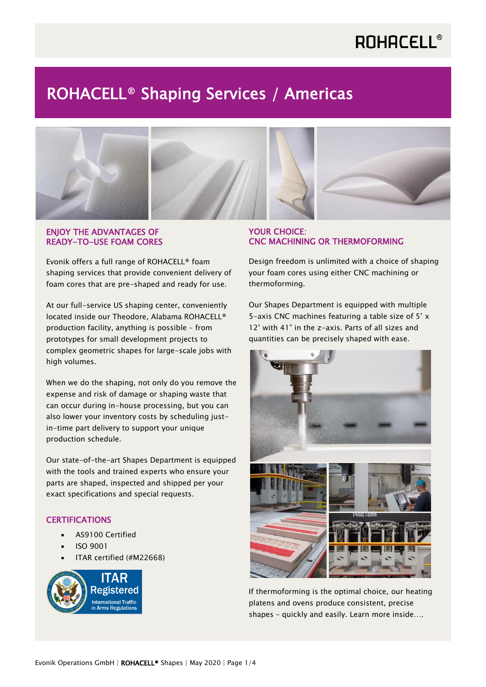## ROHACELL® Shaping Services / Americas



### ENJOY THE ADVANTAGES OF READY-TO-USE FOAM CORES

Evonik offers a full range of ROHACELL® foam shaping services that provide convenient delivery of foam cores that are pre-shaped and ready for use.

At our full-service US shaping center, conveniently located inside our Theodore, Alabama ROHACELL® production facility, anything is possible – from prototypes for small development projects to complex geometric shapes for large-scale jobs with high volumes.

When we do the shaping, not only do you remove the expense and risk of damage or shaping waste that can occur during in-house processing, but you can also lower your inventory costs by scheduling justin-time part delivery to support your unique production schedule.

Our state-of-the-art Shapes Department is equipped with the tools and trained experts who ensure your parts are shaped, inspected and shipped per your exact specifications and special requests.

## **CERTIFICATIONS**

- AS9100 Certified
- ISO 9001
- ITAR certified (#M22668)



## YOUR CHOICE: CNC MACHINING OR THERMOFORMING

Design freedom is unlimited with a choice of shaping your foam cores using either CNC machining or thermoforming.

Our Shapes Department is equipped with multiple 5-axis CNC machines featuring a table size of 5' x 12' with 41" in the z-axis. Parts of all sizes and quantities can be precisely shaped with ease.



If thermoforming is the optimal choice, our heating platens and ovens produce consistent, precise shapes – quickly and easily. Learn more inside….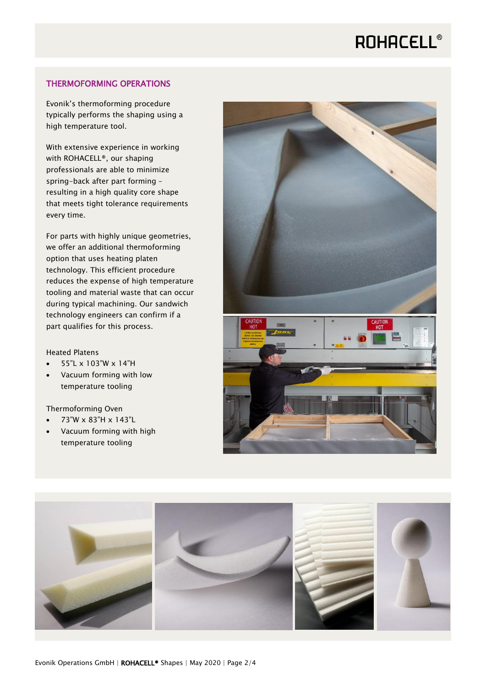### THERMOFORMING OPERATIONS

Evonik's thermoforming procedure typically performs the shaping using a high temperature tool.

With extensive experience in working with ROHACELL®, our shaping professionals are able to minimize spring-back after part forming – resulting in a high quality core shape that meets tight tolerance requirements every time.

For parts with highly unique geometries, we offer an additional thermoforming option that uses heating platen technology. This efficient procedure reduces the expense of high temperature tooling and material waste that can occur during typical machining. Our sandwich technology engineers can confirm if a part qualifies for this process.

### Heated Platens

- 55"L x 103"W x 14"H
- Vacuum forming with low temperature tooling

#### Thermoforming Oven

- 73"W x 83"H x 143"L
- Vacuum forming with high temperature tooling



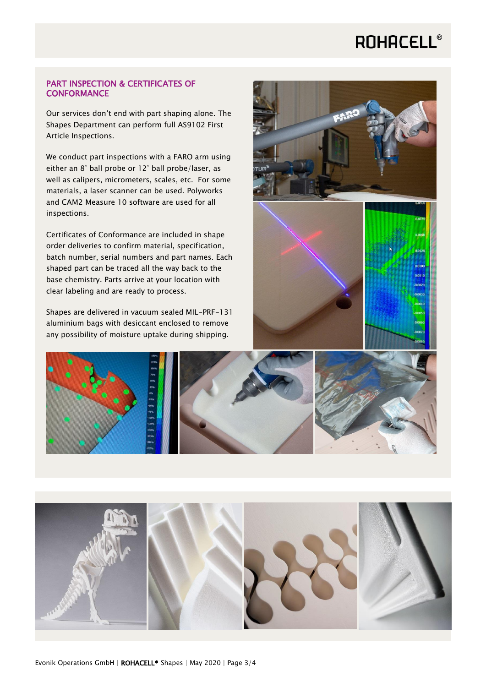### PART INSPECTION & CERTIFICATES OF **CONFORMANCE**

Our services don't end with part shaping alone. The Shapes Department can perform full AS9102 First Article Inspections.

We conduct part inspections with a FARO arm using either an 8' ball probe or 12' ball probe/laser, as well as calipers, micrometers, scales, etc. For some materials, a laser scanner can be used. Polyworks and CAM2 Measure 10 software are used for all inspections.

Certificates of Conformance are included in shape order deliveries to confirm material, specification, batch number, serial numbers and part names. Each shaped part can be traced all the way back to the base chemistry. Parts arrive at your location with clear labeling and are ready to process.

Shapes are delivered in vacuum sealed MIL-PRF-131 aluminium bags with desiccant enclosed to remove any possibility of moisture uptake during shipping.